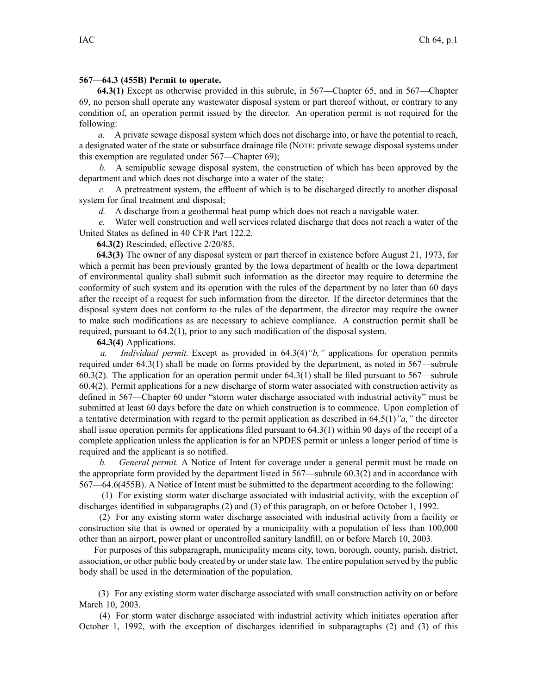## **567—64.3 (455B) Permit to operate.**

**64.3(1)** Except as otherwise provided in this subrule, in 567—Chapter 65, and in 567—Chapter 69, no person shall operate any wastewater disposal system or par<sup>t</sup> thereof without, or contrary to any condition of, an operation permit issued by the director. An operation permit is not required for the following:

*a.* A private sewage disposal system which does not discharge into, or have the potential to reach, <sup>a</sup> designated water of the state or subsurface drainage tile (NOTE: private sewage disposal systems under this exemption are regulated under 567—Chapter 69);

*b.* A semipublic sewage disposal system, the construction of which has been approved by the department and which does not discharge into <sup>a</sup> water of the state;

*c.* A pretreatment system, the effluent of which is to be discharged directly to another disposal system for final treatment and disposal;

*d.* A discharge from <sup>a</sup> geothermal heat pump which does not reach <sup>a</sup> navigable water.

Water well construction and well services related discharge that does not reach a water of the United States as defined in 40 CFR Part 122.2.

**64.3(2)** Rescinded, effective 2/20/85.

**64.3(3)** The owner of any disposal system or par<sup>t</sup> thereof in existence before August 21, 1973, for which <sup>a</sup> permit has been previously granted by the Iowa department of health or the Iowa department of environmental quality shall submit such information as the director may require to determine the conformity of such system and its operation with the rules of the department by no later than 60 days after the receipt of <sup>a</sup> reques<sup>t</sup> for such information from the director. If the director determines that the disposal system does not conform to the rules of the department, the director may require the owner to make such modifications as are necessary to achieve compliance. A construction permit shall be required, pursuan<sup>t</sup> to 64.2(1), prior to any such modification of the disposal system.

**64.3(4)** Applications.

*a. Individual permit.* Except as provided in 64.3(4)*"b,"* applications for operation permits required under 64.3(1) shall be made on forms provided by the department, as noted in 567—subrule 60.3(2). The application for an operation permit under 64.3(1) shall be filed pursuan<sup>t</sup> to 567—subrule 60.4(2). Permit applications for <sup>a</sup> new discharge of storm water associated with construction activity as defined in 567—Chapter 60 under "storm water discharge associated with industrial activity" must be submitted at least 60 days before the date on which construction is to commence. Upon completion of <sup>a</sup> tentative determination with regard to the permit application as described in 64.5(1)*"a,"* the director shall issue operation permits for applications filed pursuan<sup>t</sup> to 64.3(1) within 90 days of the receipt of <sup>a</sup> complete application unless the application is for an NPDES permit or unless <sup>a</sup> longer period of time is required and the applicant is so notified.

*b. General permit.* A Notice of Intent for coverage under <sup>a</sup> general permit must be made on the appropriate form provided by the department listed in 567—subrule 60.3(2) and in accordance with 567—64.6(455B). ANotice of Intent must be submitted to the department according to the following:

(1) For existing storm water discharge associated with industrial activity, with the exception of discharges identified in subparagraphs (2) and (3) of this paragraph, on or before October 1, 1992.

(2) For any existing storm water discharge associated with industrial activity from <sup>a</sup> facility or construction site that is owned or operated by <sup>a</sup> municipality with <sup>a</sup> population of less than 100,000 other than an airport, power plant or uncontrolled sanitary landfill, on or before March 10, 2003.

For purposes of this subparagraph, municipality means city, town, borough, county, parish, district, association, or other public body created by or understate law. The entire population served by the public body shall be used in the determination of the population.

(3) For any existing storm water discharge associated with small construction activity on or before March 10, 2003.

(4) For storm water discharge associated with industrial activity which initiates operation after October 1, 1992, with the exception of discharges identified in subparagraphs (2) and (3) of this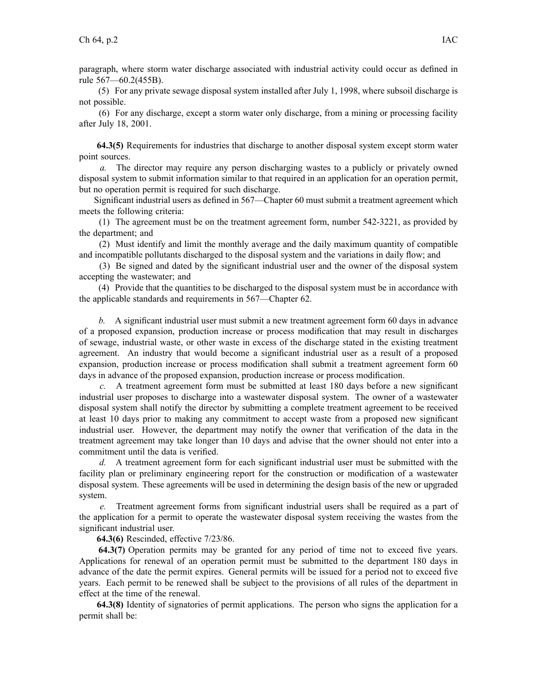paragraph, where storm water discharge associated with industrial activity could occur as defined in rule 567—60.2(455B).

(5) For any private sewage disposal system installed after July 1, 1998, where subsoil discharge is not possible.

(6) For any discharge, excep<sup>t</sup> <sup>a</sup> storm water only discharge, from <sup>a</sup> mining or processing facility after July 18, 2001.

**64.3(5)** Requirements for industries that discharge to another disposal system excep<sup>t</sup> storm water point sources.

*a.* The director may require any person discharging wastes to <sup>a</sup> publicly or privately owned disposal system to submit information similar to that required in an application for an operation permit, but no operation permit is required for such discharge.

Significant industrial users as defined in 567—Chapter 60 must submit <sup>a</sup> treatment agreemen<sup>t</sup> which meets the following criteria:

(1) The agreemen<sup>t</sup> must be on the treatment agreemen<sup>t</sup> form, number 542-3221, as provided by the department; and

(2) Must identify and limit the monthly average and the daily maximum quantity of compatible and incompatible pollutants discharged to the disposal system and the variations in daily flow; and

(3) Be signed and dated by the significant industrial user and the owner of the disposal system accepting the wastewater; and

(4) Provide that the quantities to be discharged to the disposal system must be in accordance with the applicable standards and requirements in 567—Chapter 62.

*b.* A significant industrial user must submit <sup>a</sup> new treatment agreemen<sup>t</sup> form 60 days in advance of <sup>a</sup> proposed expansion, production increase or process modification that may result in discharges of sewage, industrial waste, or other waste in excess of the discharge stated in the existing treatment agreement. An industry that would become <sup>a</sup> significant industrial user as <sup>a</sup> result of <sup>a</sup> proposed expansion, production increase or process modification shall submit <sup>a</sup> treatment agreemen<sup>t</sup> form 60 days in advance of the proposed expansion, production increase or process modification.

*c.* A treatment agreemen<sup>t</sup> form must be submitted at least 180 days before <sup>a</sup> new significant industrial user proposes to discharge into <sup>a</sup> wastewater disposal system. The owner of <sup>a</sup> wastewater disposal system shall notify the director by submitting <sup>a</sup> complete treatment agreemen<sup>t</sup> to be received at least 10 days prior to making any commitment to accep<sup>t</sup> waste from <sup>a</sup> proposed new significant industrial user. However, the department may notify the owner that verification of the data in the treatment agreemen<sup>t</sup> may take longer than 10 days and advise that the owner should not enter into <sup>a</sup> commitment until the data is verified.

*d.* A treatment agreemen<sup>t</sup> form for each significant industrial user must be submitted with the facility plan or preliminary engineering repor<sup>t</sup> for the construction or modification of <sup>a</sup> wastewater disposal system. These agreements will be used in determining the design basis of the new or upgraded system.

*e.* Treatment agreemen<sup>t</sup> forms from significant industrial users shall be required as <sup>a</sup> par<sup>t</sup> of the application for <sup>a</sup> permit to operate the wastewater disposal system receiving the wastes from the significant industrial user.

**64.3(6)** Rescinded, effective 7/23/86.

**64.3(7)** Operation permits may be granted for any period of time not to exceed five years. Applications for renewal of an operation permit must be submitted to the department 180 days in advance of the date the permit expires. General permits will be issued for <sup>a</sup> period not to exceed five years. Each permit to be renewed shall be subject to the provisions of all rules of the department in effect at the time of the renewal.

**64.3(8)** Identity of signatories of permit applications. The person who signs the application for <sup>a</sup> permit shall be: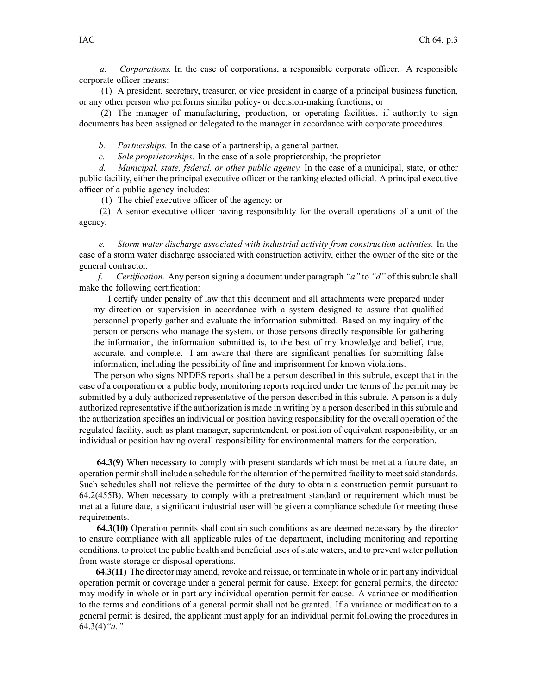*a. Corporations.* In the case of corporations, <sup>a</sup> responsible corporate officer. A responsible corporate officer means:

(1) A president, secretary, treasurer, or vice president in charge of <sup>a</sup> principal business function, or any other person who performs similar policy- or decision-making functions; or

(2) The manager of manufacturing, production, or operating facilities, if authority to sign documents has been assigned or delegated to the manager in accordance with corporate procedures.

*b. Partnerships.* In the case of <sup>a</sup> partnership, <sup>a</sup> general partner.

*c. Sole proprietorships.* In the case of <sup>a</sup> sole proprietorship, the proprietor.

*d. Municipal, state, federal, or other public agency.* In the case of <sup>a</sup> municipal, state, or other public facility, either the principal executive officer or the ranking elected official. A principal executive officer of <sup>a</sup> public agency includes:

(1) The chief executive officer of the agency; or

(2) A senior executive officer having responsibility for the overall operations of <sup>a</sup> unit of the agency.

*e. Storm water discharge associated with industrial activity from construction activities.* In the case of <sup>a</sup> storm water discharge associated with construction activity, either the owner of the site or the general contractor.

*f. Certification.* Any person signing <sup>a</sup> document under paragraph *"a"* to *"d"* of thissubrule shall make the following certification:

I certify under penalty of law that this document and all attachments were prepared under my direction or supervision in accordance with <sup>a</sup> system designed to assure that qualified personnel properly gather and evaluate the information submitted. Based on my inquiry of the person or persons who manage the system, or those persons directly responsible for gathering the information, the information submitted is, to the best of my knowledge and belief, true, accurate, and complete. I am aware that there are significant penalties for submitting false information, including the possibility of fine and imprisonment for known violations.

The person who signs NPDES reports shall be <sup>a</sup> person described in this subrule, excep<sup>t</sup> that in the case of <sup>a</sup> corporation or <sup>a</sup> public body, monitoring reports required under the terms of the permit may be submitted by <sup>a</sup> duly authorized representative of the person described in this subrule. A person is <sup>a</sup> duly authorized representative if the authorization is made in writing by <sup>a</sup> person described in this subrule and the authorization specifies an individual or position having responsibility for the overall operation of the regulated facility, such as plant manager, superintendent, or position of equivalent responsibility, or an individual or position having overall responsibility for environmental matters for the corporation.

**64.3(9)** When necessary to comply with presen<sup>t</sup> standards which must be met at <sup>a</sup> future date, an operation permitshall include <sup>a</sup> schedule for the alteration of the permitted facility to meetsaid standards. Such schedules shall not relieve the permittee of the duty to obtain <sup>a</sup> construction permit pursuan<sup>t</sup> to 64.2(455B). When necessary to comply with <sup>a</sup> pretreatment standard or requirement which must be met at <sup>a</sup> future date, <sup>a</sup> significant industrial user will be given <sup>a</sup> compliance schedule for meeting those requirements.

**64.3(10)** Operation permits shall contain such conditions as are deemed necessary by the director to ensure compliance with all applicable rules of the department, including monitoring and reporting conditions, to protect the public health and beneficial uses of state waters, and to preven<sup>t</sup> water pollution from waste storage or disposal operations.

**64.3(11)** The director may amend, revoke and reissue, or terminate in whole or in par<sup>t</sup> any individual operation permit or coverage under <sup>a</sup> general permit for cause. Except for general permits, the director may modify in whole or in par<sup>t</sup> any individual operation permit for cause. A variance or modification to the terms and conditions of <sup>a</sup> general permit shall not be granted. If <sup>a</sup> variance or modification to <sup>a</sup> general permit is desired, the applicant must apply for an individual permit following the procedures in 64.3(4)*"a."*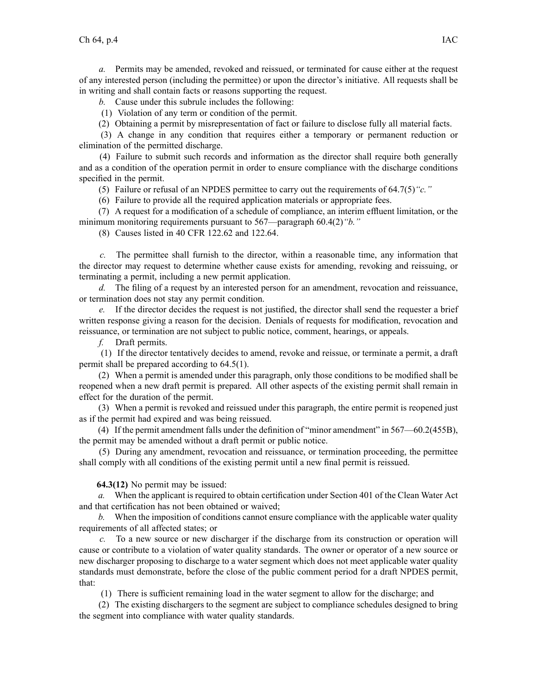*a.* Permits may be amended, revoked and reissued, or terminated for cause either at the reques<sup>t</sup> of any interested person (including the permittee) or upon the director's initiative. All requests shall be in writing and shall contain facts or reasons supporting the request.

*b.* Cause under this subrule includes the following:

(1) Violation of any term or condition of the permit.

(2) Obtaining <sup>a</sup> permit by misrepresentation of fact or failure to disclose fully all material facts.

(3) A change in any condition that requires either <sup>a</sup> temporary or permanen<sup>t</sup> reduction or elimination of the permitted discharge.

(4) Failure to submit such records and information as the director shall require both generally and as <sup>a</sup> condition of the operation permit in order to ensure compliance with the discharge conditions specified in the permit.

(5) Failure or refusal of an NPDES permittee to carry out the requirements of 64.7(5)*"c."*

(6) Failure to provide all the required application materials or appropriate fees.

(7) A reques<sup>t</sup> for <sup>a</sup> modification of <sup>a</sup> schedule of compliance, an interim effluent limitation, or the minimum monitoring requirements pursuan<sup>t</sup> to 567—paragraph 60.4(2)*"b."*

(8) Causes listed in 40 CFR 122.62 and 122.64.

*c.* The permittee shall furnish to the director, within <sup>a</sup> reasonable time, any information that the director may reques<sup>t</sup> to determine whether cause exists for amending, revoking and reissuing, or terminating <sup>a</sup> permit, including <sup>a</sup> new permit application.

*d.* The filing of <sup>a</sup> reques<sup>t</sup> by an interested person for an amendment, revocation and reissuance, or termination does not stay any permit condition.

*e.* If the director decides the reques<sup>t</sup> is not justified, the director shall send the requester <sup>a</sup> brief written response giving <sup>a</sup> reason for the decision. Denials of requests for modification, revocation and reissuance, or termination are not subject to public notice, comment, hearings, or appeals.

*f.* Draft permits.

(1) If the director tentatively decides to amend, revoke and reissue, or terminate <sup>a</sup> permit, <sup>a</sup> draft permit shall be prepared according to 64.5(1).

(2) When <sup>a</sup> permit is amended under this paragraph, only those conditions to be modified shall be reopened when <sup>a</sup> new draft permit is prepared. All other aspects of the existing permit shall remain in effect for the duration of the permit.

(3) When <sup>a</sup> permit is revoked and reissued under this paragraph, the entire permit is reopened just as if the permit had expired and was being reissued.

(4) If the permit amendment falls under the definition of "minor amendment" in 567—60.2(455B), the permit may be amended without <sup>a</sup> draft permit or public notice.

(5) During any amendment, revocation and reissuance, or termination proceeding, the permittee shall comply with all conditions of the existing permit until <sup>a</sup> new final permit is reissued.

**64.3(12)** No permit may be issued:

*a.* When the applicant is required to obtain certification under Section 401 of the Clean Water Act and that certification has not been obtained or waived;

*b.* When the imposition of conditions cannot ensure compliance with the applicable water quality requirements of all affected states; or

*c.* To <sup>a</sup> new source or new discharger if the discharge from its construction or operation will cause or contribute to <sup>a</sup> violation of water quality standards. The owner or operator of <sup>a</sup> new source or new discharger proposing to discharge to <sup>a</sup> water segmen<sup>t</sup> which does not meet applicable water quality standards must demonstrate, before the close of the public comment period for <sup>a</sup> draft NPDES permit, that:

(1) There is sufficient remaining load in the water segmen<sup>t</sup> to allow for the discharge; and

(2) The existing dischargers to the segmen<sup>t</sup> are subject to compliance schedules designed to bring the segmen<sup>t</sup> into compliance with water quality standards.